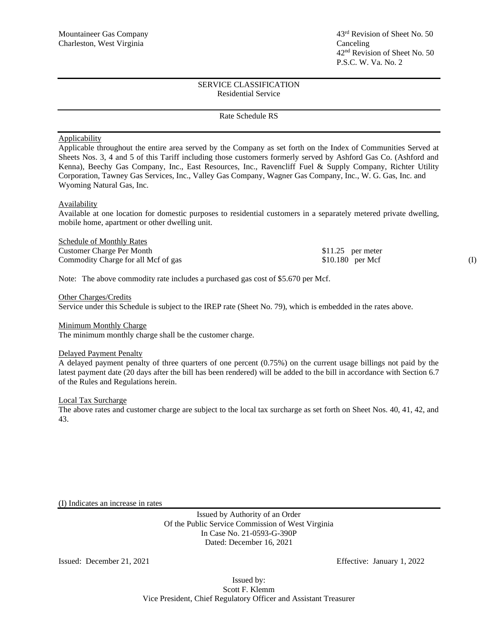#### Rate Schedule RS

### **Applicability**

Applicable throughout the entire area served by the Company as set forth on the Index of Communities Served at Sheets Nos. 3, 4 and 5 of this Tariff including those customers formerly served by Ashford Gas Co. (Ashford and Kenna), Beechy Gas Company, Inc., East Resources, Inc., Ravencliff Fuel & Supply Company, Richter Utility Corporation, Tawney Gas Services, Inc., Valley Gas Company, Wagner Gas Company, Inc., W. G. Gas, Inc. and Wyoming Natural Gas, Inc.

#### Availability

Available at one location for domestic purposes to residential customers in a separately metered private dwelling, mobile home, apartment or other dwelling unit.

| Schedule of Monthly Rates           |                    |  |
|-------------------------------------|--------------------|--|
| Customer Charge Per Month           | $$11.25$ per meter |  |
| Commodity Charge for all Mcf of gas | $$10.180$ per Mcf  |  |

Note: The above commodity rate includes a purchased gas cost of \$5.670 per Mcf.

Other Charges/Credits

Service under this Schedule is subject to the IREP rate (Sheet No. 79), which is embedded in the rates above.

#### Minimum Monthly Charge

The minimum monthly charge shall be the customer charge.

#### Delayed Payment Penalty

A delayed payment penalty of three quarters of one percent (0.75%) on the current usage billings not paid by the latest payment date (20 days after the bill has been rendered) will be added to the bill in accordance with Section 6.7 of the Rules and Regulations herein.

#### Local Tax Surcharge

The above rates and customer charge are subject to the local tax surcharge as set forth on Sheet Nos. 40, 41, 42, and 43.

(I) Indicates an increase in rates

Issued by Authority of an Order Of the Public Service Commission of West Virginia In Case No. 21-0593-G-390P Dated: December 16, 2021

Issued: December 21, 2021 Effective: January 1, 2022

Issued by: Scott F. Klemm Vice President, Chief Regulatory Officer and Assistant Treasurer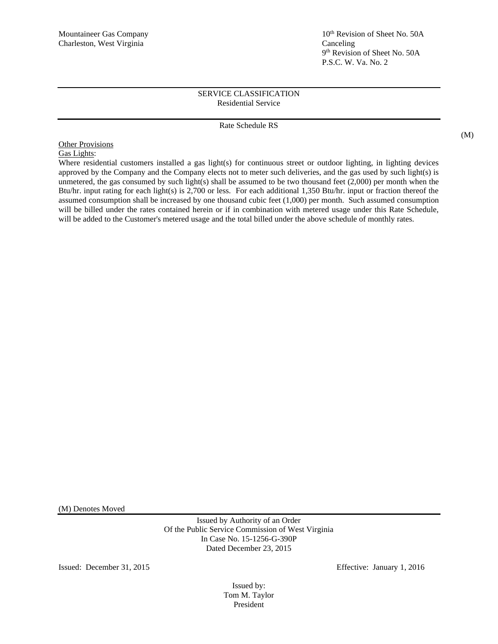# Mountaineer Gas Company 10<sup>th</sup> Revision of Sheet No. 50A 9 th Revision of Sheet No. 50A P.S.C. W. Va. No. 2

# SERVICE CLASSIFICATION Residential Service

# Rate Schedule RS

(M)

**Other Provisions** Gas Lights:

Where residential customers installed a gas light(s) for continuous street or outdoor lighting, in lighting devices approved by the Company and the Company elects not to meter such deliveries, and the gas used by such light(s) is unmetered, the gas consumed by such light(s) shall be assumed to be two thousand feet  $(2,000)$  per month when the Btu/hr. input rating for each light(s) is 2,700 or less. For each additional 1,350 Btu/hr. input or fraction thereof the assumed consumption shall be increased by one thousand cubic feet (1,000) per month. Such assumed consumption will be billed under the rates contained herein or if in combination with metered usage under this Rate Schedule, will be added to the Customer's metered usage and the total billed under the above schedule of monthly rates.

(M) Denotes Moved

Issued by Authority of an Order Of the Public Service Commission of West Virginia In Case No. 15-1256-G-390P Dated December 23, 2015

Issued: December 31, 2015 Effective: January 1, 2016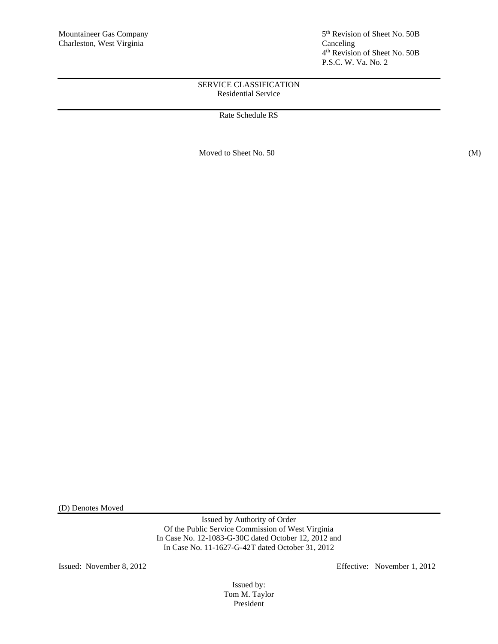5<sup>th</sup> Revision of Sheet No. 50B 4 th Revision of Sheet No. 50B P.S.C. W. Va. No. 2

# SERVICE CLASSIFICATION Residential Service

Rate Schedule RS

Moved to Sheet No. 50 (M)

(D) Denotes Moved

Issued by Authority of Order Of the Public Service Commission of West Virginia In Case No. 12-1083-G-30C dated October 12, 2012 and In Case No. 11-1627-G-42T dated October 31, 2012

Issued: November 8, 2012 Effective: November 1, 2012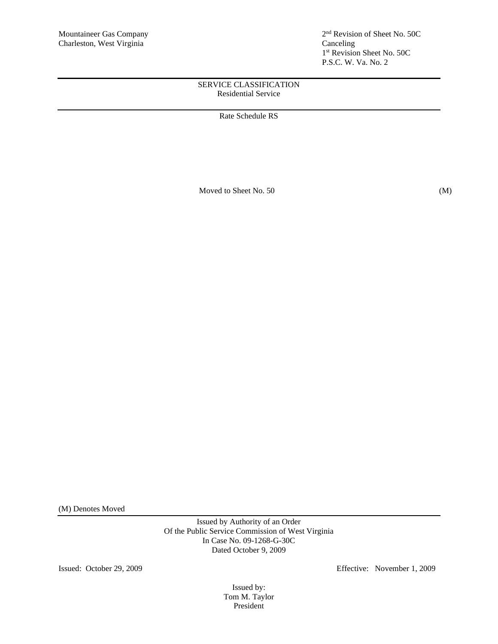2<sup>nd</sup> Revision of Sheet No. 50C 1 st Revision Sheet No. 50C P.S.C. W. Va. No. 2

# SERVICE CLASSIFICATION Residential Service

Rate Schedule RS

Moved to Sheet No. 50 (M)

(M) Denotes Moved

Issued by Authority of an Order Of the Public Service Commission of West Virginia In Case No. 09-1268-G-30C Dated October 9, 2009

Issued: October 29, 2009 Effective: November 1, 2009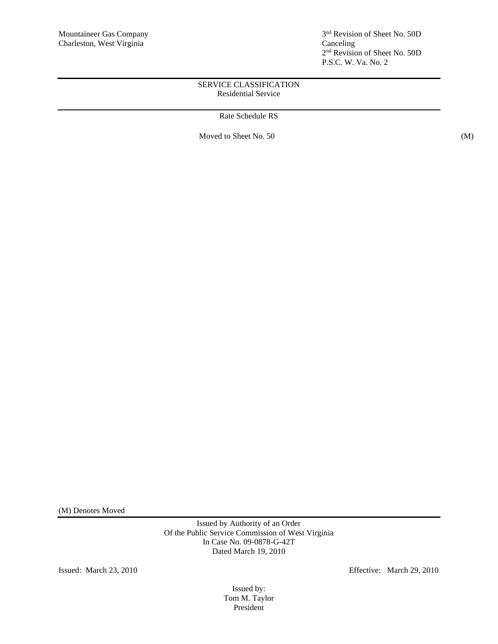3<sup>nd</sup> Revision of Sheet No. 50D 2 nd Revision of Sheet No. 50D P.S.C. W. Va. No. 2

# SERVICE CLASSIFICATION Residential Service

Rate Schedule RS

Moved to Sheet No. 50 (M)

(M) Denotes Moved

Issued by Authority of an Order Of the Public Service Commission of West Virginia In Case No. 09-0878-G-42T Dated March 19, 2010

Issued: March 23, 2010 Effective: March 29, 2010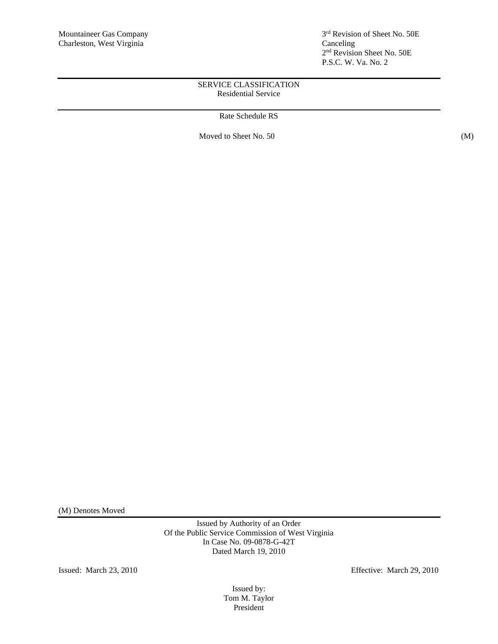3<sup>rd</sup> Revision of Sheet No. 50E 2 nd Revision Sheet No. 50E P.S.C. W. Va. No. 2

# SERVICE CLASSIFICATION Residential Service

Rate Schedule RS

Moved to Sheet No. 50 (M)

(M) Denotes Moved

Issued by Authority of an Order Of the Public Service Commission of West Virginia In Case No. 09-0878-G-42T Dated March 19, 2010

Issued: March 23, 2010 Effective: March 29, 2010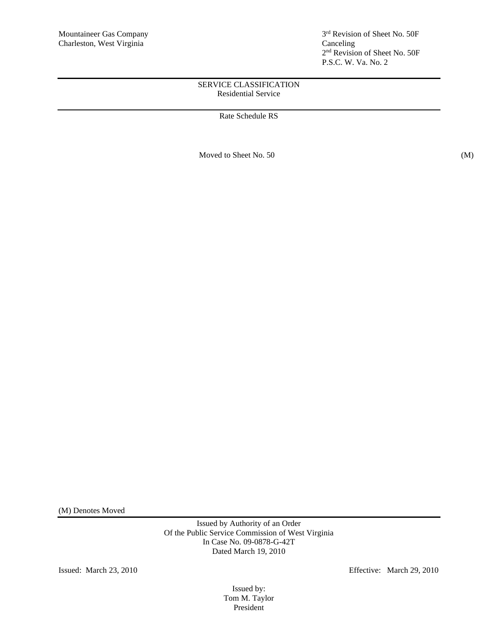3<sup>rd</sup> Revision of Sheet No. 50F 2 nd Revision of Sheet No. 50F P.S.C. W. Va. No. 2

# SERVICE CLASSIFICATION Residential Service

# Rate Schedule RS

Moved to Sheet No. 50 (M)

(M) Denotes Moved

Issued by Authority of an Order Of the Public Service Commission of West Virginia In Case No. 09-0878-G-42T Dated March 19, 2010

Issued: March 23, 2010 Effective: March 29, 2010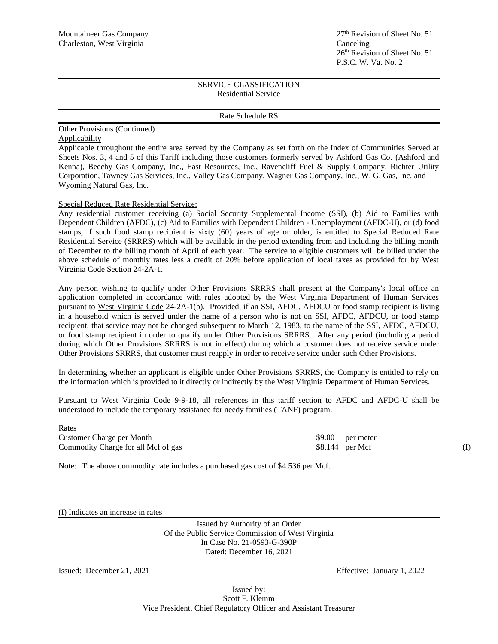#### Rate Schedule RS

#### Other Provisions (Continued) **Applicability**

Applicable throughout the entire area served by the Company as set forth on the Index of Communities Served at Sheets Nos. 3, 4 and 5 of this Tariff including those customers formerly served by Ashford Gas Co. (Ashford and Kenna), Beechy Gas Company, Inc., East Resources, Inc., Ravencliff Fuel & Supply Company, Richter Utility Corporation, Tawney Gas Services, Inc., Valley Gas Company, Wagner Gas Company, Inc., W. G. Gas, Inc. and Wyoming Natural Gas, Inc.

### Special Reduced Rate Residential Service:

Any residential customer receiving (a) Social Security Supplemental Income (SSI), (b) Aid to Families with Dependent Children (AFDC), (c) Aid to Families with Dependent Children - Unemployment (AFDC-U), or (d) food stamps, if such food stamp recipient is sixty (60) years of age or older, is entitled to Special Reduced Rate Residential Service (SRRRS) which will be available in the period extending from and including the billing month of December to the billing month of April of each year. The service to eligible customers will be billed under the above schedule of monthly rates less a credit of 20% before application of local taxes as provided for by West Virginia Code Section 24-2A-1.

Any person wishing to qualify under Other Provisions SRRRS shall present at the Company's local office an application completed in accordance with rules adopted by the West Virginia Department of Human Services pursuant to West Virginia Code 24-2A-1(b). Provided, if an SSI, AFDC, AFDCU or food stamp recipient is living in a household which is served under the name of a person who is not on SSI, AFDC, AFDCU, or food stamp recipient, that service may not be changed subsequent to March 12, 1983, to the name of the SSI, AFDC, AFDCU, or food stamp recipient in order to qualify under Other Provisions SRRRS. After any period (including a period during which Other Provisions SRRRS is not in effect) during which a customer does not receive service under Other Provisions SRRRS, that customer must reapply in order to receive service under such Other Provisions.

In determining whether an applicant is eligible under Other Provisions SRRRS, the Company is entitled to rely on the information which is provided to it directly or indirectly by the West Virginia Department of Human Services.

Pursuant to West Virginia Code 9-9-18, all references in this tariff section to AFDC and AFDC-U shall be understood to include the temporary assistance for needy families (TANF) program.

Rates Customer Charge per Month \$9.00 per meter Commodity Charge for all Mcf of gas  $$8.144$  per Mcf (I)

Note: The above commodity rate includes a purchased gas cost of \$4.536 per Mcf.

(I) Indicates an increase in rates

Issued by Authority of an Order Of the Public Service Commission of West Virginia In Case No. 21-0593-G-390P Dated: December 16, 2021

Issued: December 21, 2021 Effective: January 1, 2022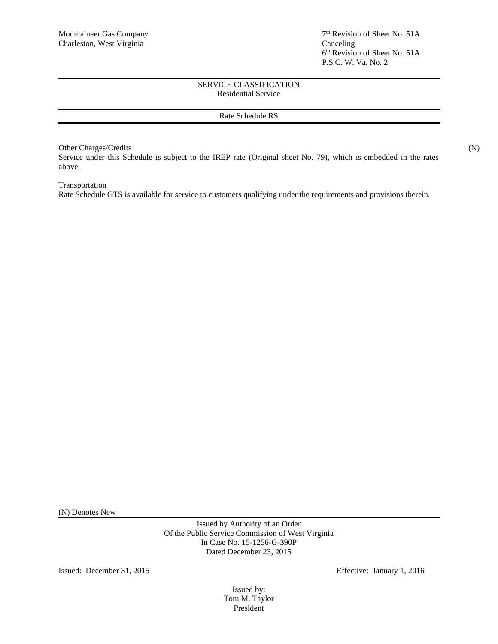### Rate Schedule RS

## Other Charges/Credits (N)

Service under this Schedule is subject to the IREP rate (Original sheet No. 79), which is embedded in the rates above.

# **Transportation**

Rate Schedule GTS is available for service to customers qualifying under the requirements and provisions therein.

(N) Denotes New

Issued by Authority of an Order Of the Public Service Commission of West Virginia In Case No. 15-1256-G-390P Dated December 23, 2015

Issued: December 31, 2015 Effective: January 1, 2016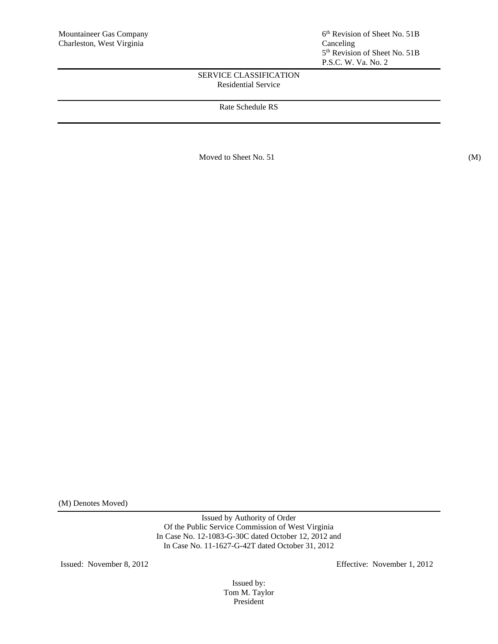# Rate Schedule RS

Moved to Sheet No. 51 (M)

(M) Denotes Moved)

Issued by Authority of Order Of the Public Service Commission of West Virginia In Case No. 12-1083-G-30C dated October 12, 2012 and In Case No. 11-1627-G-42T dated October 31, 2012

Issued: November 8, 2012 Effective: November 1, 2012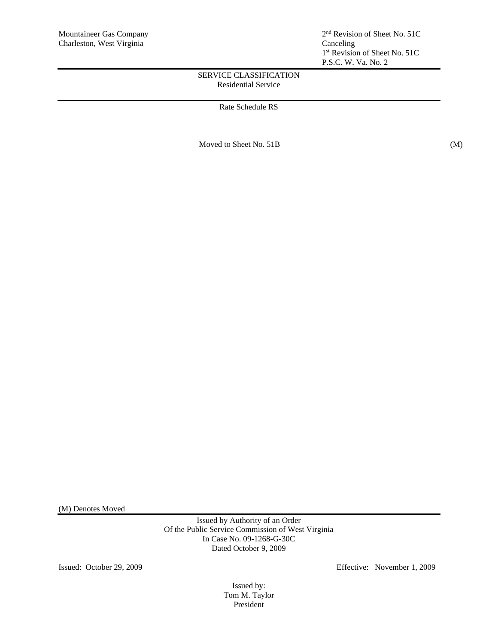Rate Schedule RS

Moved to Sheet No. 51B (M)

(M) Denotes Moved

Issued by Authority of an Order Of the Public Service Commission of West Virginia In Case No. 09-1268-G-30C Dated October 9, 2009

Issued: October 29, 2009 Effective: November 1, 2009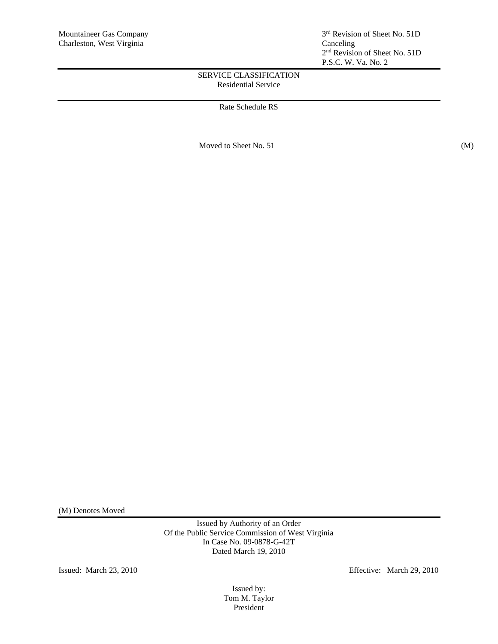Rate Schedule RS

Moved to Sheet No. 51 (M)

(M) Denotes Moved

Issued by Authority of an Order Of the Public Service Commission of West Virginia In Case No. 09-0878-G-42T Dated March 19, 2010

Issued: March 23, 2010 Effective: March 29, 2010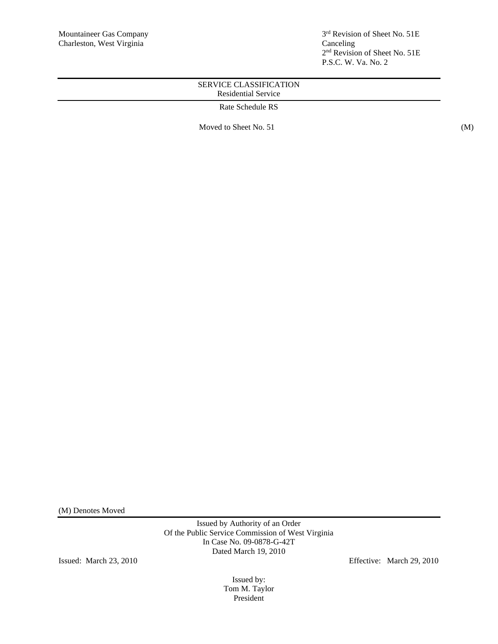3<sup>rd</sup> Revision of Sheet No. 51E 2 nd Revision of Sheet No. 51E P.S.C. W. Va. No. 2

# SERVICE CLASSIFICATION Residential Service

Rate Schedule RS

Moved to Sheet No. 51 (M)

(M) Denotes Moved

Issued by Authority of an Order Of the Public Service Commission of West Virginia In Case No. 09-0878-G-42T Dated March 19, 2010

Issued: March 23, 2010 Effective: March 29, 2010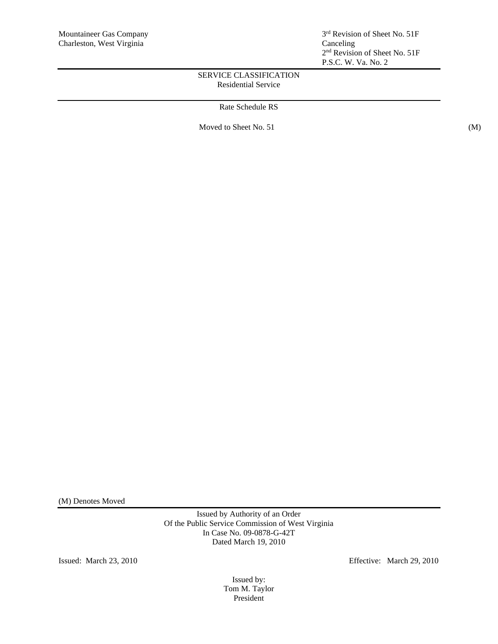Rate Schedule RS

Moved to Sheet No. 51 (M)

(M) Denotes Moved

Issued by Authority of an Order Of the Public Service Commission of West Virginia In Case No. 09-0878-G-42T Dated March 19, 2010

Issued: March 23, 2010 Effective: March 29, 2010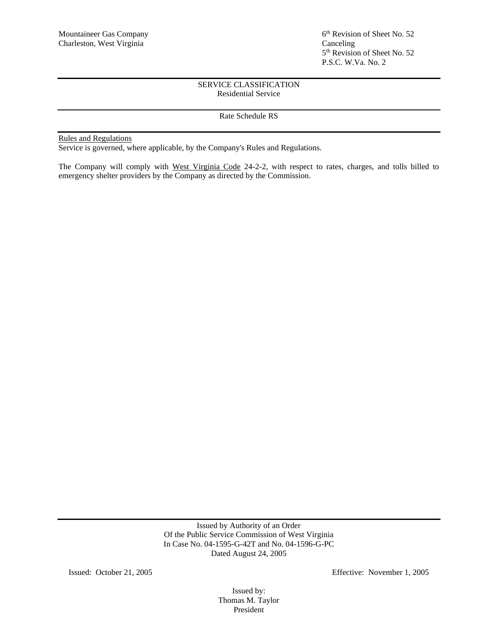# Rate Schedule RS

# Rules and Regulations

Service is governed, where applicable, by the Company's Rules and Regulations.

The Company will comply with West Virginia Code 24-2-2, with respect to rates, charges, and tolls billed to emergency shelter providers by the Company as directed by the Commission.

> Issued by Authority of an Order Of the Public Service Commission of West Virginia In Case No. 04-1595-G-42T and No. 04-1596-G-PC Dated August 24, 2005

Issued: October 21, 2005 Effective: November 1, 2005